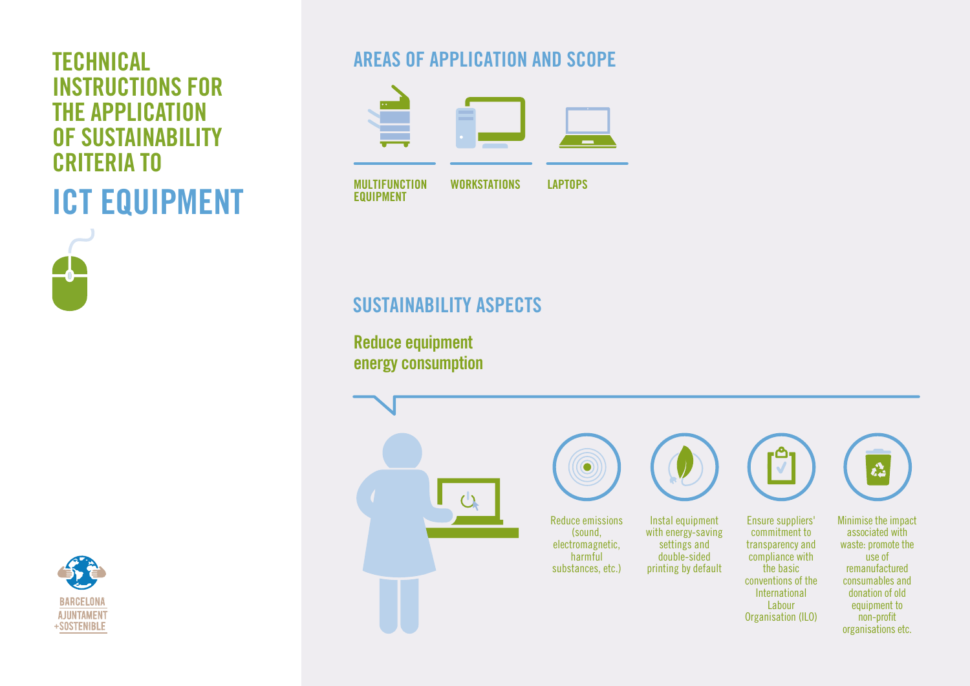# INSTRUCTIONS FOR THE APPLICATION OF SUSTAINABILITY CRITERIA TO ICT EQUIPMENT





# **TECHNICAL AREAS OF APPLICATION AND SCOPE**



# SUSTAINABILITY ASPECTS

 $\mathcal{L}$ 

Reduce equipment energy consumption



Reduce emissions (sound, electromagnetic, harmful substances, etc.)







 $\checkmark$ 



 $\mathbf{r}^{\mathbf{A}}$ 

organisations etc.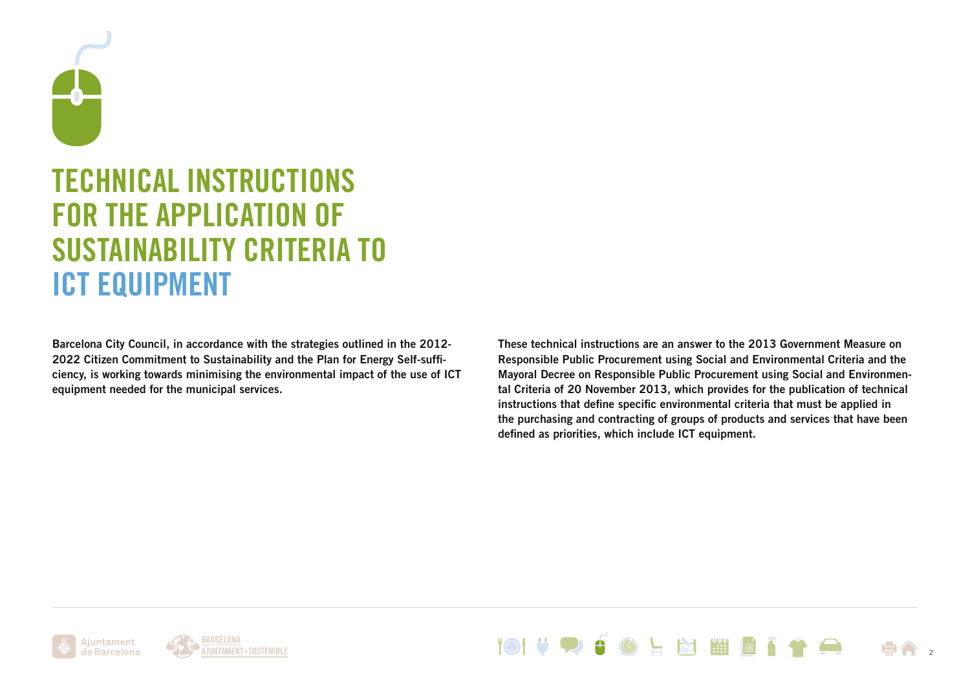

# TECHNICAL INSTRUCTIONS FOR THE APPLICATION OF SUSTAINABILITY CRITERIA TO ICT EQUIPMENT

Barcelona City Council, in accordance with the strategies outlined in the 2012- 2022 Citizen Commitment to Sustainability and the Plan for Energy Self-sufficiency, is working towards minimising the environmental impact of the use of ICT equipment needed for the municipal services.

These technical instructions are an answer to the 2013 Government Measure on Responsible Public Procurement using Social and Environmental Criteria and the Mayoral Decree on Responsible Public Procurement using Social and Environmental Criteria of 20 November 2013, which provides for the publication of technical instructions that define specific environmental criteria that must be applied in the purchasing and contracting of groups of products and services that have been defined as priorities, which include ICT equipment.





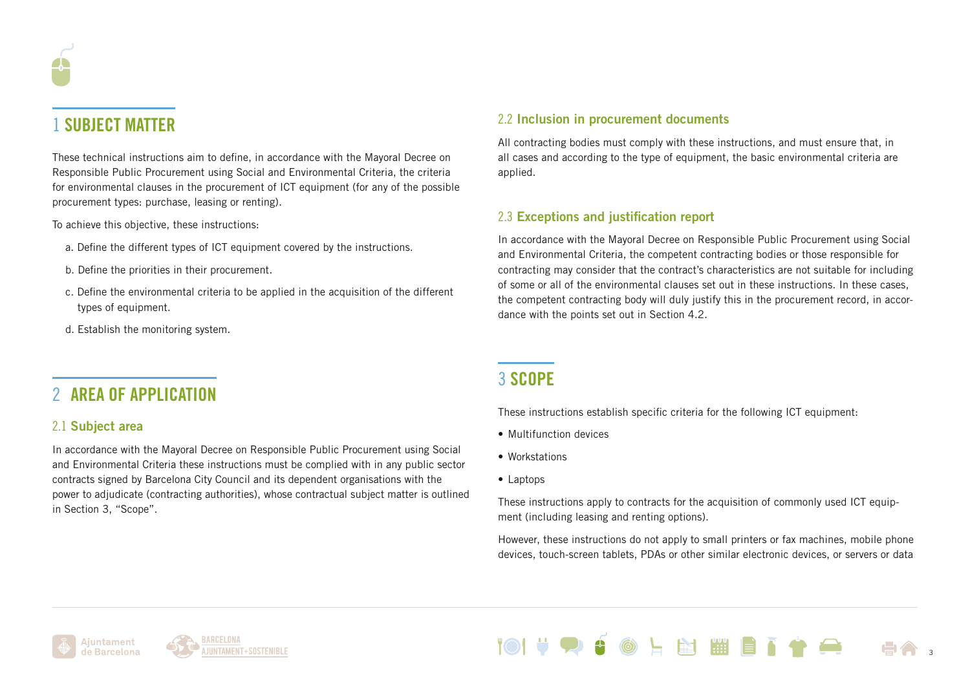# 1 SUBJECT MATTER

These technical instructions aim to define, in accordance with the Mayoral Decree on Responsible Public Procurement using Social and Environmental Criteria, the criteria for environmental clauses in the procurement of ICT equipment (for any of the possible procurement types: purchase, leasing or renting).

To achieve this objective, these instructions:

- a. Define the different types of ICT equipment covered by the instructions.
- b. Define the priorities in their procurement.
- c. Define the environmental criteria to be applied in the acquisition of the different types of equipment.
- d. Establish the monitoring system.

# 2 AREA OF APPLICATION

# 2.1 Subject area

In accordance with the Mayoral Decree on Responsible Public Procurement using Social and Environmental Criteria these instructions must be complied with in any public sector contracts signed by Barcelona City Council and its dependent organisations with the power to adjudicate (contracting authorities), whose contractual subject matter is outlined in Section 3, "Scope".

# 2.2 Inclusion in procurement documents

All contracting bodies must comply with these instructions, and must ensure that, in all cases and according to the type of equipment, the basic environmental criteria are applied.

# 2.3 Exceptions and justification report

In accordance with the Mayoral Decree on Responsible Public Procurement using Social and Environmental Criteria, the competent contracting bodies or those responsible for contracting may consider that the contract's characteristics are not suitable for including of some or all of the environmental clauses set out in these instructions. In these cases, the competent contracting body will duly justify this in the procurement record, in accordance with the points set out in Section 4.2.

# 3 SCOPE

These instructions establish specific criteria for the following ICT equipment:

- Multifunction devices
- Workstations
- Laptops

These instructions apply to contracts for the acquisition of commonly used ICT equipment (including leasing and renting options).

However, these instructions do not apply to small printers or fax machines, mobile phone devices, touch-screen tablets, PDAs or other similar electronic devices, or servers or data





**M** 3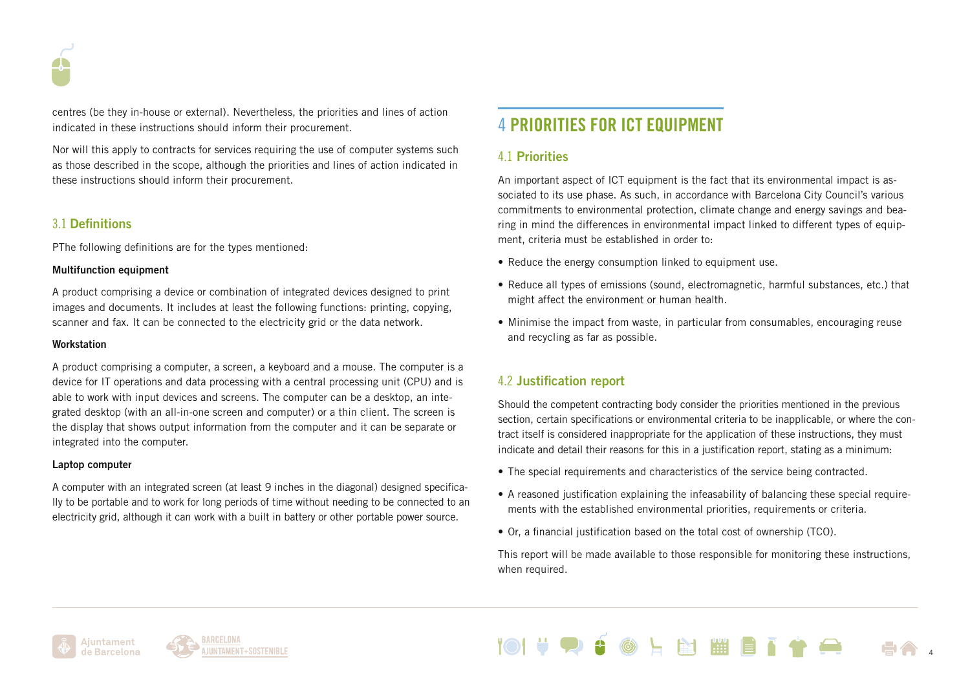

centres (be they in-house or external). Nevertheless, the priorities and lines of action indicated in these instructions should inform their procurement.

Nor will this apply to contracts for services requiring the use of computer systems such as those described in the scope, although the priorities and lines of action indicated in these instructions should inform their procurement.

# 3.1 Definitions

PThe following definitions are for the types mentioned:

### Multifunction equipment

A product comprising a device or combination of integrated devices designed to print images and documents. It includes at least the following functions: printing, copying, scanner and fax. It can be connected to the electricity grid or the data network.

### **Workstation**

A product comprising a computer, a screen, a keyboard and a mouse. The computer is a device for IT operations and data processing with a central processing unit (CPU) and is able to work with input devices and screens. The computer can be a desktop, an integrated desktop (with an all-in-one screen and computer) or a thin client. The screen is the display that shows output information from the computer and it can be separate or integrated into the computer.

### Laptop computer

A computer with an integrated screen (at least 9 inches in the diagonal) designed specifically to be portable and to work for long periods of time without needing to be connected to an electricity grid, although it can work with a built in battery or other portable power source.

# 4 PRIORITIES FOR ICT EQUIPMENT

# 4.1 Priorities

An important aspect of ICT equipment is the fact that its environmental impact is associated to its use phase. As such, in accordance with Barcelona City Council's various commitments to environmental protection, climate change and energy savings and bearing in mind the differences in environmental impact linked to different types of equipment, criteria must be established in order to:

- Reduce the energy consumption linked to equipment use.
- Reduce all types of emissions (sound, electromagnetic, harmful substances, etc.) that might affect the environment or human health.
- Minimise the impact from waste, in particular from consumables, encouraging reuse and recycling as far as possible.

# 4.2 Justification report

Should the competent contracting body consider the priorities mentioned in the previous section, certain specifications or environmental criteria to be inapplicable, or where the contract itself is considered inappropriate for the application of these instructions, they must indicate and detail their reasons for this in a justification report, stating as a minimum:

- The special requirements and characteristics of the service being contracted.
- A reasoned justification explaining the infeasability of balancing these special requirements with the established environmental priorities, requirements or criteria.
- Or, a financial justification based on the total cost of ownership (TCO).

This report will be made available to those responsible for monitoring these instructions, when required.

图图图

4



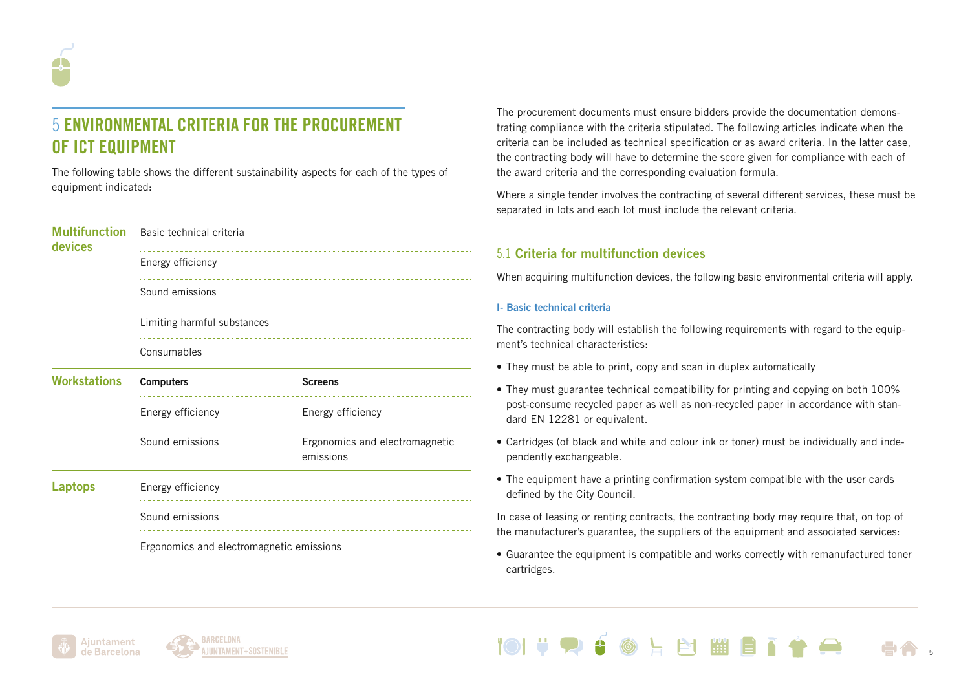

# 5 ENVIRONMENTAL CRITERIA FOR THE PROCUREMENT OF ICT EQUIPMENT

The following table shows the different sustainability aspects for each of the types of equipment indicated:

| <b>Multifunction</b><br>devices | Basic technical criteria    |
|---------------------------------|-----------------------------|
|                                 | Energy efficiency           |
|                                 | Sound emissions             |
|                                 | Limiting harmful substances |
|                                 | Consumables                 |

| <b>Workstations</b> | <b>Computers</b>  | <b>Screens</b>                              |
|---------------------|-------------------|---------------------------------------------|
|                     | Energy efficiency | Energy efficiency                           |
|                     | Sound emissions   | Ergonomics and electromagnetic<br>emissions |
| <b>Laptops</b>      | Energy efficiency |                                             |
|                     | Sound emissions   |                                             |

Ergonomics and electromagnetic emissions

The procurement documents must ensure bidders provide the documentation demonstrating compliance with the criteria stipulated. The following articles indicate when the criteria can be included as technical specification or as award criteria. In the latter case, the contracting body will have to determine the score given for compliance with each of the award criteria and the corresponding evaluation formula.

Where a single tender involves the contracting of several different services, these must be separated in lots and each lot must include the relevant criteria.

# 5.1 Criteria for multifunction devices

When acquiring multifunction devices, the following basic environmental criteria will apply.

### I- Basic technical criteria

The contracting body will establish the following requirements with regard to the equipment's technical characteristics:

- They must be able to print, copy and scan in duplex automatically
- They must guarantee technical compatibility for printing and copying on both 100% post-consume recycled paper as well as non-recycled paper in accordance with standard EN 12281 or equivalent.
- Cartridges (of black and white and colour ink or toner) must be individually and independently exchangeable.
- The equipment have a printing confirmation system compatible with the user cards defined by the City Council.

In case of leasing or renting contracts, the contracting body may require that, on top of the manufacturer's guarantee, the suppliers of the equipment and associated services:

• Guarantee the equipment is compatible and works correctly with remanufactured toner cartridges.

**图** 

5



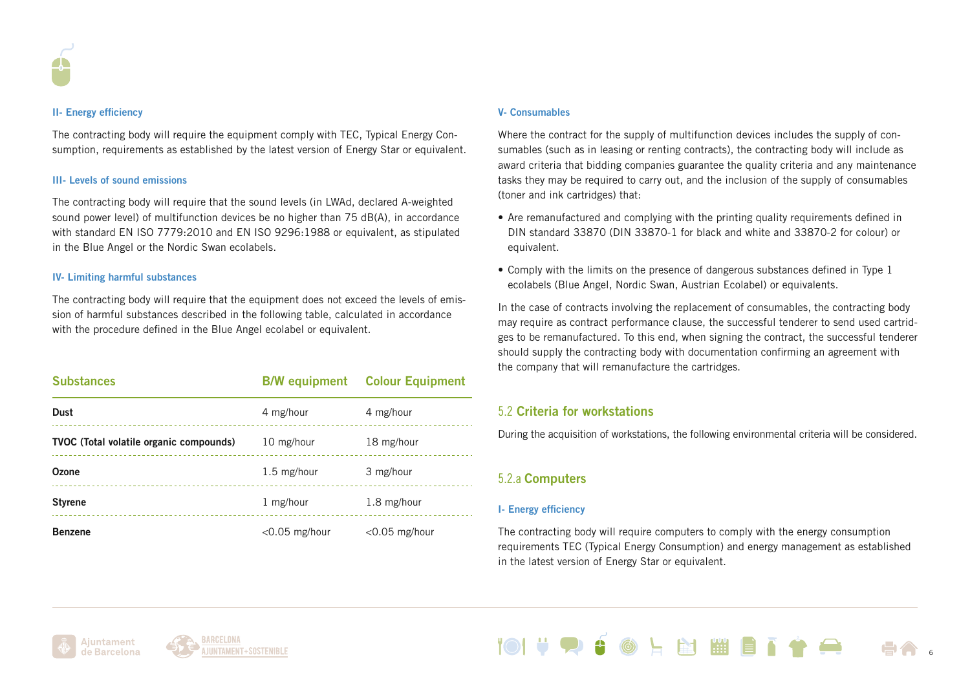

#### II- Energy efficiency

The contracting body will require the equipment comply with TEC, Typical Energy Consumption, requirements as established by the latest version of Energy Star or equivalent.

#### III- Levels of sound emissions

The contracting body will require that the sound levels (in LWAd, declared A-weighted sound power level) of multifunction devices be no higher than 75 dB(A), in accordance with standard EN ISO 7779:2010 and EN ISO 9296:1988 or equivalent, as stipulated in the Blue Angel or the Nordic Swan ecolabels.

#### IV- Limiting harmful substances

The contracting body will require that the equipment does not exceed the levels of emission of harmful substances described in the following table, calculated in accordance with the procedure defined in the Blue Angel ecolabel or equivalent.

| <b>Substances</b>                       |                  | <b>B/W equipment</b> Colour Equipment |
|-----------------------------------------|------------------|---------------------------------------|
| <b>Dust</b>                             | 4 mg/hour        | 4 mg/hour                             |
| TVOC (Total volatile organic compounds) | 10 mg/hour       | 18 mg/hour                            |
| Ozone                                   | 1.5 mg/hour      | 3 mg/hour                             |
| <b>Styrene</b>                          | 1 mg/hour        | 1.8 mg/hour                           |
| <b>Benzene</b>                          | $<$ 0.05 mg/hour | $<$ 0.05 mg/hour                      |

### V- Consumables

Where the contract for the supply of multifunction devices includes the supply of consumables (such as in leasing or renting contracts), the contracting body will include as award criteria that bidding companies guarantee the quality criteria and any maintenance tasks they may be required to carry out, and the inclusion of the supply of consumables (toner and ink cartridges) that:

- Are remanufactured and complying with the printing quality requirements defined in DIN standard 33870 (DIN 33870-1 for black and white and 33870-2 for colour) or equivalent.
- Comply with the limits on the presence of dangerous substances defined in Type 1 ecolabels (Blue Angel, Nordic Swan, Austrian Ecolabel) or equivalents.

In the case of contracts involving the replacement of consumables, the contracting body may require as contract performance clause, the successful tenderer to send used cartridges to be remanufactured. To this end, when signing the contract, the successful tenderer should supply the contracting body with documentation confirming an agreement with the company that will remanufacture the cartridges.

# 5.2 Criteria for workstations

During the acquisition of workstations, the following environmental criteria will be considered.

# 5.2.a Computers

### I- Energy efficiency

The contracting body will require computers to comply with the energy consumption requirements TEC (Typical Energy Consumption) and energy management as established in the latest version of Energy Star or equivalent.





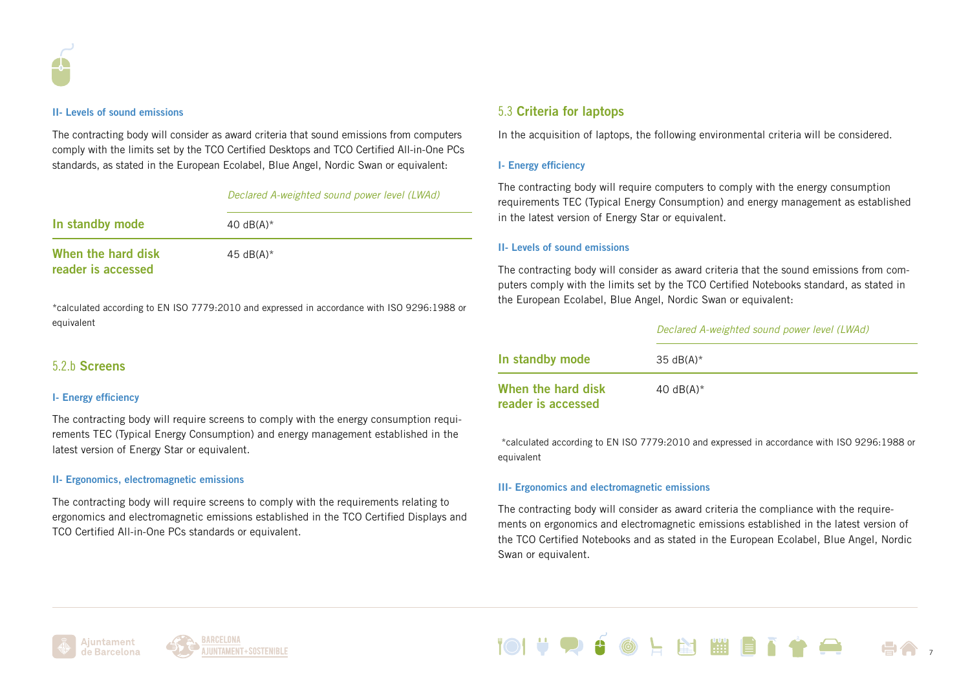

#### II- Levels of sound emissions

The contracting body will consider as award criteria that sound emissions from computers comply with the limits set by the TCO Certified Desktops and TCO Certified All-in-One PCs standards, as stated in the European Ecolabel, Blue Angel, Nordic Swan or equivalent:

### *Declared A-weighted sound power level (LWAd)*

| In standby mode                          | 40 dB(A) $*$ |
|------------------------------------------|--------------|
| When the hard disk<br>reader is accessed | 45 $dB(A)^*$ |

\*calculated according to EN ISO 7779:2010 and expressed in accordance with ISO 9296:1988 or equivalent

## 5.2.b Screens

#### I- Energy efficiency

The contracting body will require screens to comply with the energy consumption requirements TEC (Typical Energy Consumption) and energy management established in the latest version of Energy Star or equivalent.

#### II- Ergonomics, electromagnetic emissions

The contracting body will require screens to comply with the requirements relating to ergonomics and electromagnetic emissions established in the TCO Certified Displays and TCO Certified All-in-One PCs standards or equivalent.

## 5.3 Criteria for laptops

In the acquisition of laptops, the following environmental criteria will be considered.

### I- Energy efficiency

The contracting body will require computers to comply with the energy consumption requirements TEC (Typical Energy Consumption) and energy management as established in the latest version of Energy Star or equivalent.

### II- Levels of sound emissions

The contracting body will consider as award criteria that the sound emissions from computers comply with the limits set by the TCO Certified Notebooks standard, as stated in the European Ecolabel, Blue Angel, Nordic Swan or equivalent:

#### *Declared A-weighted sound power level (LWAd)*

| In standby mode                          | 35 dB(A) $*$ |
|------------------------------------------|--------------|
| When the hard disk<br>reader is accessed | 40 $dB(A)^*$ |

\*calculated according to EN ISO 7779:2010 and expressed in accordance with ISO 9296:1988 or equivalent

#### III- Ergonomics and electromagnetic emissions

The contracting body will consider as award criteria the compliance with the requirements on ergonomics and electromagnetic emissions established in the latest version of the TCO Certified Notebooks and as stated in the European Ecolabel, Blue Angel, Nordic Swan or equivalent.





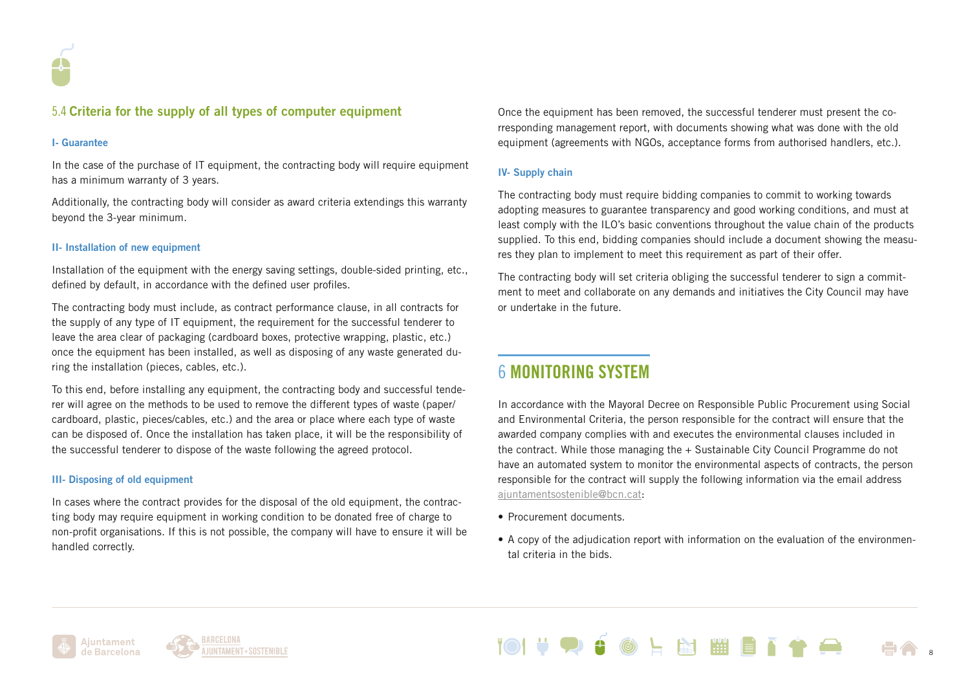

# 5.4 Criteria for the supply of all types of computer equipment

#### I- Guarantee

In the case of the purchase of IT equipment, the contracting body will require equipment has a minimum warranty of 3 years.

Additionally, the contracting body will consider as award criteria extendings this warranty beyond the 3-year minimum.

### II- Installation of new equipment

Installation of the equipment with the energy saving settings, double-sided printing, etc., defined by default, in accordance with the defined user profiles.

The contracting body must include, as contract performance clause, in all contracts for the supply of any type of IT equipment, the requirement for the successful tenderer to leave the area clear of packaging (cardboard boxes, protective wrapping, plastic, etc.) once the equipment has been installed, as well as disposing of any waste generated during the installation (pieces, cables, etc.).

To this end, before installing any equipment, the contracting body and successful tenderer will agree on the methods to be used to remove the different types of waste (paper/ cardboard, plastic, pieces/cables, etc.) and the area or place where each type of waste can be disposed of. Once the installation has taken place, it will be the responsibility of the successful tenderer to dispose of the waste following the agreed protocol.

#### III- Disposing of old equipment

In cases where the contract provides for the disposal of the old equipment, the contracting body may require equipment in working condition to be donated free of charge to non-profit organisations. If this is not possible, the company will have to ensure it will be handled correctly.

Once the equipment has been removed, the successful tenderer must present the corresponding management report, with documents showing what was done with the old equipment (agreements with NGOs, acceptance forms from authorised handlers, etc.).

### IV- Supply chain

The contracting body must require bidding companies to commit to working towards adopting measures to guarantee transparency and good working conditions, and must at least comply with the ILO's basic conventions throughout the value chain of the products supplied. To this end, bidding companies should include a document showing the measures they plan to implement to meet this requirement as part of their offer.

The contracting body will set criteria obliging the successful tenderer to sign a commitment to meet and collaborate on any demands and initiatives the City Council may have or undertake in the future.

# 6 MONITORING SYSTEM

In accordance with the Mayoral Decree on Responsible Public Procurement using Social and Environmental Criteria, the person responsible for the contract will ensure that the awarded company complies with and executes the environmental clauses included in the contract. While those managing the + Sustainable City Council Programme do not have an automated system to monitor the environmental aspects of contracts, the person responsible for the contract will supply the following information via the email address [ajuntamentsostenible@bcn.cat:](mailto:ajuntamentsostenible%40bcn.cat?subject=)

- Procurement documents.
- A copy of the adjudication report with information on the evaluation of the environmental criteria in the bids.

8